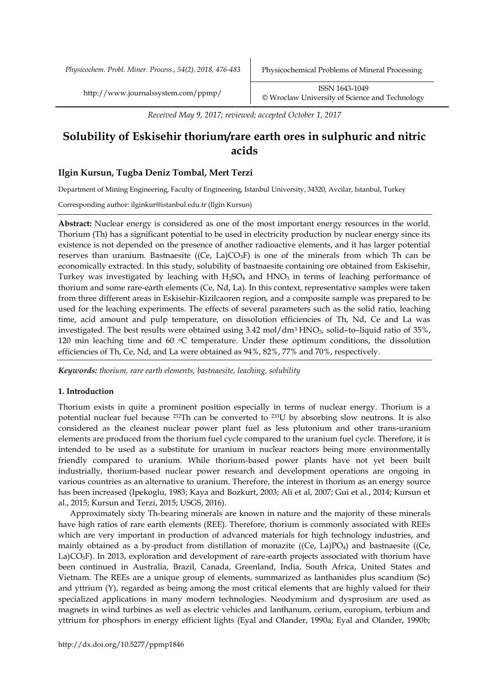*Physicochem. Probl. Miner. Process., 54(2), 2018, 476-483* Physicochemical Problems of Mineral Processing

http://www.journalssystem.com/ppmp/ ISSN 1643-1049 [©](http://www.minproc.pwr.wroc.pl/journal/) Wroclaw University of Science and Technology

*Received May 9, 2017; reviewed; accepted October 1, 2017*

# **Solubility of Eskisehir thorium/rare earth ores in sulphuric and nitric acids**

# **Ilgin Kursun, Tugba Deniz Tombal, Mert Terzi**

Department of Mining Engineering, Faculty of Engineering, Istanbul University, 34320, Avcilar, Istanbul, Turkey

Corresponding author: ilginkur@istanbul.edu.tr (Ilgin Kursun)

**Abstract:** Nuclear energy is considered as one of the most important energy resources in the world. Thorium (Th) has a significant potential to be used in electricity production by nuclear energy since its existence is not depended on the presence of another radioactive elements, and it has larger potential reserves than uranium. Bastnaesite ((Ce, La) $CO<sub>3</sub>F$ ) is one of the minerals from which Th can be economically extracted. In this study, solubility of bastnaesite containing ore obtained from Eskisehir, Turkey was investigated by leaching with  $H_2SO_4$  and  $HNO_3$  in terms of leaching performance of thorium and some rare-earth elements (Ce, Nd, La). In this context, representative samples were taken from three different areas in Eskisehir-Kizilcaoren region, and a composite sample was prepared to be used for the leaching experiments. The effects of several parameters such as the solid ratio, leaching time, acid amount and pulp temperature, on dissolution efficiencies of Th, Nd, Ce and La was investigated. The best results were obtained using 3.42 mol/dm<sup>3</sup> HNO<sub>3</sub>, solid-to-liquid ratio of 35%, 120 min leaching time and 60  $\degree$ C temperature. Under these optimum conditions, the dissolution efficiencies of Th, Ce, Nd, and La were obtained as 94%, 82%, 77% and 70%, respectively.

*Keywords: thorium, rare earth elements, bastnaesite, leaching, solubility*

## **1. Introduction**

Thorium exists in quite a prominent position especially in terms of nuclear energy. Thorium is a potential nuclear fuel because 232Th can be converted to 233U by absorbing slow neutrons. It is also considered as the cleanest nuclear power plant fuel as less plutonium and other trans-uranium elements are produced from the thorium fuel cycle compared to the uranium fuel cycle. Therefore, it is intended to be used as a substitute for uranium in nuclear reactors being more environmentally friendly compared to uranium. While thorium-based power plants have not yet been built industrially, thorium-based nuclear power research and development operations are ongoing in various countries as an alternative to uranium. Therefore, the interest in thorium as an energy source has been increased (Ipekoglu, 1983; Kaya and Bozkurt, 2003; Ali et al, 2007; Gui et al., 2014; Kursun et al., 2015; Kursun and Terzi, 2015; USGS, 2016).

Approximately sixty Th-bearing minerals are known in nature and the majority of these minerals have high ratios of rare earth elements (REE). Therefore, thorium is commonly associated with REEs which are very important in production of advanced materials for high technology industries, and mainly obtained as a by-product from distillation of monazite ((Ce, La)PO<sub>4</sub>) and bastnaesite ((Ce, La)CO<sub>3</sub>F). In 2013, exploration and development of rare-earth projects associated with thorium have been continued in Australia, Brazil, Canada, Greenland, India, South Africa, United States and Vietnam. The REEs are a unique group of elements, summarized as lanthanides plus scandium (Sc) and yttrium (Y), regarded as being among the most critical elements that are highly valued for their specialized applications in many modern technologies. Neodymium and dysprosium are used as magnets in wind turbines as well as electric vehicles and lanthanum, cerium, europium, terbium and yttrium for phosphors in energy efficient lights (Eyal and Olander, 1990a; Eyal and Olander, 1990b;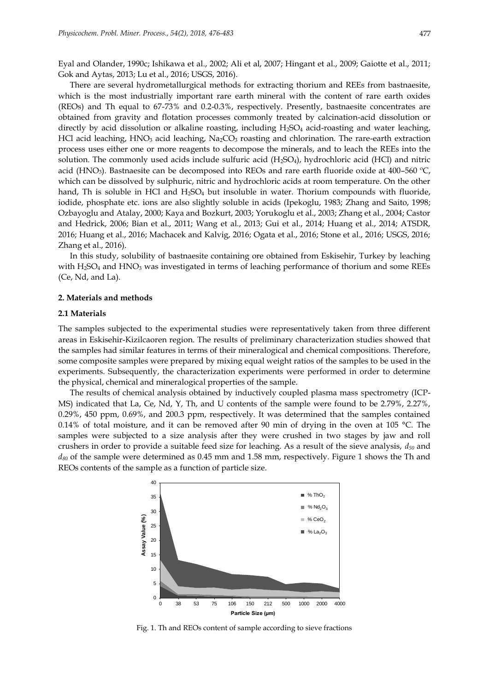Eyal and Olander, 1990c; Ishikawa et al., 2002; Ali et al, 2007; Hingant et al., 2009; Gaiotte et al., 2011; Gok and Aytas, 2013; Lu et al., 2016; USGS, 2016).

There are several hydrometallurgical methods for extracting thorium and REEs from bastnaesite, which is the most industrially important rare earth mineral with the content of rare earth oxides (REOs) and Th equal to 67-73% and 0.2-0.3%, respectively. Presently, bastnaesite concentrates are obtained from gravity and flotation processes commonly treated by calcination-acid dissolution or directly by acid dissolution or alkaline roasting, including  $H_2SO_4$  acid-roasting and water leaching, HCl acid leaching, HNO<sub>3</sub> acid leaching, Na<sub>2</sub>CO<sub>3</sub> roasting and chlorination. The rare-earth extraction process uses either one or more reagents to decompose the minerals, and to leach the REEs into the solution. The commonly used acids include sulfuric acid (H2SO4), hydrochloric acid (HCl) and nitric acid (HNO<sub>3</sub>). Bastnaesite can be decomposed into REOs and rare earth fluoride oxide at 400–560 °C, which can be dissolved by sulphuric, nitric and hydrochloric acids at room temperature. On the other hand, Th is soluble in HCl and  $H_2SO_4$  but insoluble in water. Thorium compounds with fluoride, iodide, phosphate etc. ions are also slightly soluble in acids (Ipekoglu, 1983; Zhang and Saito, 1998; Ozbayoglu and Atalay, 2000; Kaya and Bozkurt, 2003; Yorukoglu et al., 2003; Zhang et al., 2004; Castor and Hedrick, 2006; Bian et al., 2011; Wang et al., 2013; Gui et al., 2014; Huang et al., 2014; ATSDR, 2016; Huang et al., 2016; Machacek and Kalvig, 2016; Ogata et al., 2016; Stone et al., 2016; USGS, 2016; Zhang et al., 2016).

In this study, solubility of bastnaesite containing ore obtained from Eskisehir, Turkey by leaching with  $H_2SO_4$  and  $HNO_3$  was investigated in terms of leaching performance of thorium and some REEs (Ce, Nd, and La).

#### **2. Materials and methods**

#### **2.1 Materials**

The samples subjected to the experimental studies were representatively taken from three different areas in Eskisehir-Kizilcaoren region. The results of preliminary characterization studies showed that the samples had similar features in terms of their mineralogical and chemical compositions. Therefore, some composite samples were prepared by mixing equal weight ratios of the samples to be used in the experiments. Subsequently, the characterization experiments were performed in order to determine the physical, chemical and mineralogical properties of the sample.

The results of chemical analysis obtained by inductively coupled plasma mass spectrometry (ICP-MS) indicated that La, Ce, Nd, Y, Th, and U contents of the sample were found to be 2.79%, 2.27%, 0.29%, 450 ppm, 0.69%, and 200.3 ppm, respectively. It was determined that the samples contained 0.14% of total moisture, and it can be removed after 90 min of drying in the oven at 105 °C. The samples were subjected to a size analysis after they were crushed in two stages by jaw and roll crushers in order to provide a suitable feed size for leaching. As a result of the sieve analysis, *d<sup>50</sup>* and *d<sup>80</sup>* of the sample were determined as 0.45 mm and 1.58 mm, respectively. Figure 1 shows the Th and REOs contents of the sample as a function of particle size.



Fig. 1. Th and REOs content of sample according to sieve fractions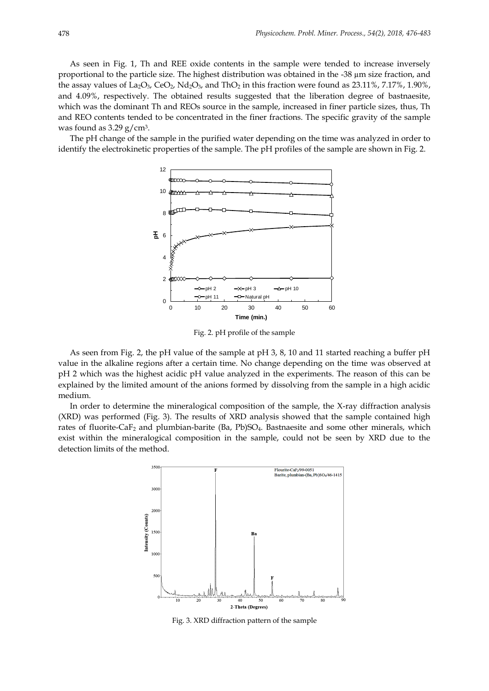As seen in Fig. 1, Th and REE oxide contents in the sample were tended to increase inversely proportional to the particle size. The highest distribution was obtained in the -38  $\mu$ m size fraction, and the assay values of La<sub>2</sub>O<sub>3</sub>, CeO<sub>2</sub>, Nd<sub>2</sub>O<sub>3</sub>, and ThO<sub>2</sub> in this fraction were found as 23.11%, 7.17%, 1.90%, and 4.09%, respectively. The obtained results suggested that the liberation degree of bastnaesite, which was the dominant Th and REOs source in the sample, increased in finer particle sizes, thus, Th and REO contents tended to be concentrated in the finer fractions. The specific gravity of the sample was found as  $3.29$  g/cm<sup>3</sup>.

The pH change of the sample in the purified water depending on the time was analyzed in order to identify the electrokinetic properties of the sample. The pH profiles of the sample are shown in Fig. 2.



Fig. 2. pH profile of the sample

As seen from Fig. 2, the pH value of the sample at pH 3, 8, 10 and 11 started reaching a buffer pH value in the alkaline regions after a certain time. No change depending on the time was observed at pH 2 which was the highest acidic pH value analyzed in the experiments. The reason of this can be explained by the limited amount of the anions formed by dissolving from the sample in a high acidic medium.

In order to determine the mineralogical composition of the sample, the X-ray diffraction analysis (XRD) was performed (Fig. 3). The results of XRD analysis showed that the sample contained high rates of fluorite-CaF<sub>2</sub> and plumbian-barite (Ba, Pb)SO<sub>4</sub>. Bastnaesite and some other minerals, which exist within the mineralogical composition in the sample, could not be seen by XRD due to the detection limits of the method.



Fig. 3. XRD diffraction pattern of the sample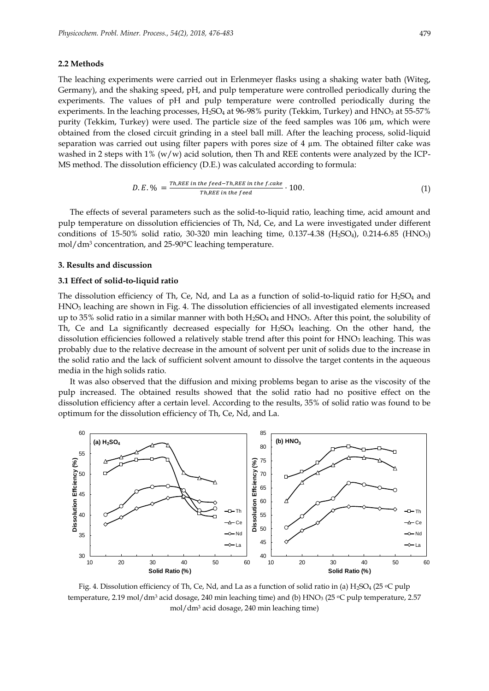#### **2.2 Methods**

The leaching experiments were carried out in Erlenmeyer flasks using a shaking water bath (Witeg, Germany), and the shaking speed, pH, and pulp temperature were controlled periodically during the experiments. The values of pH and pulp temperature were controlled periodically during the experiments. In the leaching processes,  $H_2SO_4$  at 96-98% purity (Tekkim, Turkey) and HNO<sub>3</sub> at 55-57% purity (Tekkim, Turkey) were used. The particle size of the feed samples was 106 µm, which were obtained from the closed circuit grinding in a steel ball mill. After the leaching process, solid-liquid separation was carried out using filter papers with pores size of 4 µm. The obtained filter cake was washed in 2 steps with  $1\%$  (w/w) acid solution, then Th and REE contents were analyzed by the ICP-MS method. The dissolution efficiency (D.E.) was calculated according to formula:

$$
D.E. \% = \frac{Th,REE \text{ in the feed-Th,REE in the f. cake}}{Th,REE \text{ in the feed}} \cdot 100. \tag{1}
$$

The effects of several parameters such as the solid-to-liquid ratio, leaching time, acid amount and pulp temperature on dissolution efficiencies of Th, Nd, Ce, and La were investigated under different conditions of 15-50% solid ratio, 30-320 min leaching time, 0.137-4.38 (H2SO4), 0.214-6.85 (HNO3) mol/dm<sup>3</sup> concentration, and 25-90°C leaching temperature.

### **3. Results and discussion**

#### **3.1 Effect of solid-to-liquid ratio**

The dissolution efficiency of Th, Ce, Nd, and La as a function of solid-to-liquid ratio for  $H_2SO_4$  and HNO<sup>3</sup> leaching are shown in Fig. 4. The dissolution efficiencies of all investigated elements increased up to 35% solid ratio in a similar manner with both  $H_2SO_4$  and  $HNO_3$ . After this point, the solubility of Th, Ce and La significantly decreased especially for  $H_2SO_4$  leaching. On the other hand, the dissolution efficiencies followed a relatively stable trend after this point for  $HNO<sub>3</sub>$  leaching. This was probably due to the relative decrease in the amount of solvent per unit of solids due to the increase in the solid ratio and the lack of sufficient solvent amount to dissolve the target contents in the aqueous media in the high solids ratio.

It was also observed that the diffusion and mixing problems began to arise as the viscosity of the pulp increased. The obtained results showed that the solid ratio had no positive effect on the dissolution efficiency after a certain level. According to the results, 35% of solid ratio was found to be optimum for the dissolution efficiency of Th, Ce, Nd, and La.



Fig. 4. Dissolution efficiency of Th, Ce, Nd, and La as a function of solid ratio in (a) H<sub>2</sub>SO<sub>4</sub> (25  $\circ$ C pulp temperature, 2.19 mol/dm<sup>3</sup> acid dosage, 240 min leaching time) and (b) HNO<sub>3</sub> (25 °C pulp temperature, 2.57 mol/dm<sup>3</sup> acid dosage, 240 min leaching time)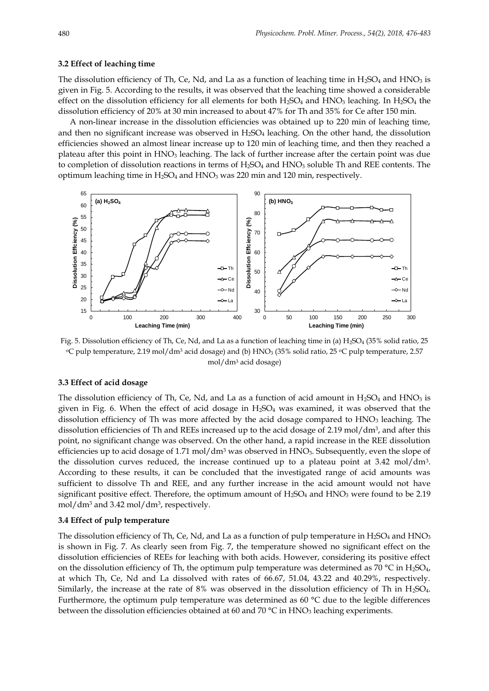#### **3.2 Effect of leaching time**

The dissolution efficiency of Th, Ce, Nd, and La as a function of leaching time in  $H_2SO_4$  and  $HNO_3$  is given in Fig. 5. According to the results, it was observed that the leaching time showed a considerable effect on the dissolution efficiency for all elements for both  $H_2SO_4$  and  $HNO_3$  leaching. In  $H_2SO_4$  the dissolution efficiency of 20% at 30 min increased to about 47% for Th and 35% for Ce after 150 min.

A non-linear increase in the dissolution efficiencies was obtained up to 220 min of leaching time, and then no significant increase was observed in  $H_2SO_4$  leaching. On the other hand, the dissolution efficiencies showed an almost linear increase up to 120 min of leaching time, and then they reached a plateau after this point in HNO<sup>3</sup> leaching. The lack of further increase after the certain point was due to completion of dissolution reactions in terms of H<sub>2</sub>SO<sub>4</sub> and HNO<sub>3</sub> soluble Th and REE contents. The optimum leaching time in  $H_2SO_4$  and  $HNO_3$  was 220 min and 120 min, respectively.



Fig. 5. Dissolution efficiency of Th, Ce, Nd, and La as a function of leaching time in (a)  $H_2SO_4$  (35% solid ratio, 25 °C pulp temperature, 2.19 mol/dm<sup>3</sup> acid dosage) and (b) HNO<sub>3</sub> (35% solid ratio, 25 °C pulp temperature, 2.57 mol/dm<sup>3</sup> acid dosage)

# **3.3 Effect of acid dosage**

The dissolution efficiency of Th, Ce, Nd, and La as a function of acid amount in  $H_2SO_4$  and  $HNO_3$  is given in Fig. 6. When the effect of acid dosage in  $H_2SO_4$  was examined, it was observed that the dissolution efficiency of Th was more affected by the acid dosage compared to  $HNO<sub>3</sub>$  leaching. The dissolution efficiencies of Th and REEs increased up to the acid dosage of 2.19 mol/dm<sup>3</sup> , and after this point, no significant change was observed. On the other hand, a rapid increase in the REE dissolution efficiencies up to acid dosage of 1.71 mol/dm<sup>3</sup> was observed in  $HNO<sub>3</sub>$ . Subsequently, even the slope of the dissolution curves reduced, the increase continued up to a plateau point at 3.42 mol/dm<sup>3</sup> . According to these results, it can be concluded that the investigated range of acid amounts was sufficient to dissolve Th and REE, and any further increase in the acid amount would not have significant positive effect. Therefore, the optimum amount of  $H_2SO_4$  and  $HNO_3$  were found to be 2.19 mol/dm<sup>3</sup> and 3.42 mol/dm<sup>3</sup> , respectively.

## **3.4 Effect of pulp temperature**

The dissolution efficiency of Th, Ce, Nd, and La as a function of pulp temperature in  $H_2SO_4$  and  $HNO_3$ is shown in Fig. 7. As clearly seen from Fig. 7, the temperature showed no significant effect on the dissolution efficiencies of REEs for leaching with both acids. However, considering its positive effect on the dissolution efficiency of Th, the optimum pulp temperature was determined as 70 °C in  $H_2SO_4$ , at which Th, Ce, Nd and La dissolved with rates of 66.67, 51.04, 43.22 and 40.29%, respectively. Similarly, the increase at the rate of 8% was observed in the dissolution efficiency of Th in H2SO4. Furthermore, the optimum pulp temperature was determined as 60 °C due to the legible differences between the dissolution efficiencies obtained at 60 and 70 °C in HNO<sub>3</sub> leaching experiments.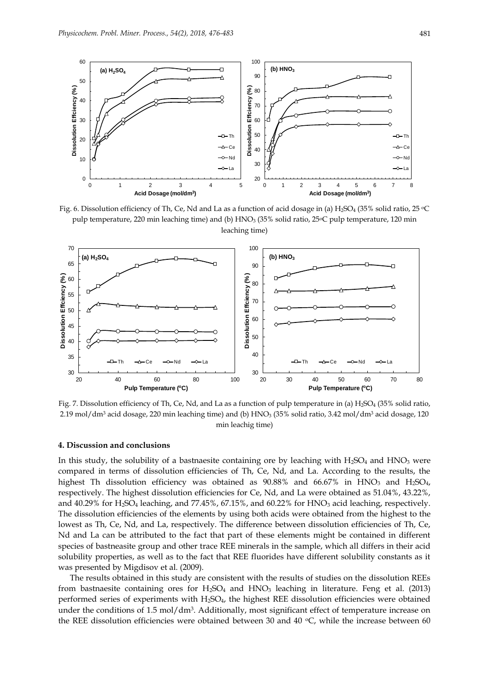

Fig. 6. Dissolution efficiency of Th, Ce, Nd and La as a function of acid dosage in (a) H<sub>2</sub>SO<sub>4</sub> (35% solid ratio, 25 °C pulp temperature, 220 min leaching time) and (b) HNO<sub>3</sub> (35% solid ratio, 25°C pulp temperature, 120 min leaching time)



Fig. 7. Dissolution efficiency of Th, Ce, Nd, and La as a function of pulp temperature in (a) H<sub>2</sub>SO<sub>4</sub> (35% solid ratio, 2.19 mol/dm<sup>3</sup> acid dosage, 220 min leaching time) and (b) HNO<sup>3</sup> (35% solid ratio, 3.42 mol/dm<sup>3</sup> acid dosage, 120 min leachig time)

## **4. Discussion and conclusions**

In this study, the solubility of a bastnaesite containing ore by leaching with  $H_2SO_4$  and  $HNO_3$  were compared in terms of dissolution efficiencies of Th, Ce, Nd, and La. According to the results, the highest Th dissolution efficiency was obtained as  $90.88\%$  and  $66.67\%$  in HNO<sub>3</sub> and H<sub>2</sub>SO<sub>4</sub>, respectively. The highest dissolution efficiencies for Ce, Nd, and La were obtained as 51.04%, 43.22%, and 40.29% for H<sub>2</sub>SO<sub>4</sub> leaching, and 77.45%, 67.15%, and 60.22% for HNO<sub>3</sub> acid leaching, respectively. The dissolution efficiencies of the elements by using both acids were obtained from the highest to the lowest as Th, Ce, Nd, and La, respectively. The difference between dissolution efficiencies of Th, Ce, Nd and La can be attributed to the fact that part of these elements might be contained in different species of bastneasite group and other trace REE minerals in the sample, which all differs in their acid solubility properties, as well as to the fact that REE fluorides have different solubility constants as it was presented by Migdisov et al. (2009).

The results obtained in this study are consistent with the results of studies on the dissolution REEs from bastnaesite containing ores for  $H_2SO_4$  and  $HNO_3$  leaching in literature. Feng et al. (2013) performed series of experiments with H2SO4, the highest REE dissolution efficiencies were obtained under the conditions of  $1.5 \text{ mol/dm}$ <sup>3</sup>. Additionally, most significant effect of temperature increase on the REE dissolution efficiencies were obtained between 30 and 40  $\degree$ C, while the increase between 60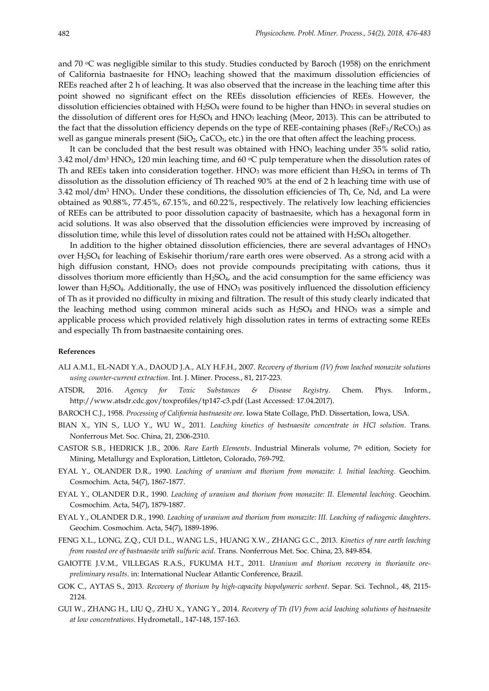and 70  $\degree$ C was negligible similar to this study. Studies conducted by Baroch (1958) on the enrichment of California bastnaesite for HNO<sub>3</sub> leaching showed that the maximum dissolution efficiencies of REEs reached after 2 h of leaching. It was also observed that the increase in the leaching time after this point showed no significant effect on the REEs dissolution efficiencies of REEs. However, the dissolution efficiencies obtained with  $H_2SO_4$  were found to be higher than  $HNO_3$  in several studies on the dissolution of different ores for  $H_2SO_4$  and  $HNO_3$  leaching (Meor, 2013). This can be attributed to the fact that the dissolution efficiency depends on the type of REE-containing phases ( $ReF_3/ReCO_3$ ) as well as gangue minerals present (SiO<sub>2</sub>, CaCO<sub>3</sub>, etc.) in the ore that often affect the leaching process.

It can be concluded that the best result was obtained with  $HNO<sub>3</sub>$  leaching under 35% solid ratio, 3.42 mol/dm<sup>3</sup> HNO<sub>3</sub>, 120 min leaching time, and 60  $\degree$ C pulp temperature when the dissolution rates of Th and REEs taken into consideration together.  $HNO<sub>3</sub>$  was more efficient than  $H<sub>2</sub>SO<sub>4</sub>$  in terms of Th dissolution as the dissolution efficiency of Th reached 90% at the end of 2 h leaching time with use of 3.42 mol/dm<sup>3</sup> HNO3. Under these conditions, the dissolution efficiencies of Th, Ce, Nd, and La were obtained as 90.88%, 77.45%, 67.15%, and 60.22%, respectively. The relatively low leaching efficiencies of REEs can be attributed to poor dissolution capacity of bastnaesite, which has a hexagonal form in acid solutions. It was also observed that the dissolution efficiencies were improved by increasing of dissolution time, while this level of dissolution rates could not be attained with  $H_2SO_4$  altogether.

In addition to the higher obtained dissolution efficiencies, there are several advantages of HNO<sub>3</sub> over H2SO<sup>4</sup> for leaching of Eskisehir thorium/rare earth ores were observed. As a strong acid with a high diffusion constant, HNO<sub>3</sub> does not provide compounds precipitating with cations, thus it dissolves thorium more efficiently than H2SO4, and the acid consumption for the same efficiency was lower than H<sub>2</sub>SO<sub>4</sub>. Additionally, the use of  $HNO<sub>3</sub>$  was positively influenced the dissolution efficiency of Th as it provided no difficulty in mixing and filtration. The result of this study clearly indicated that the leaching method using common mineral acids such as  $H<sub>2</sub>SO<sub>4</sub>$  and  $HNO<sub>3</sub>$  was a simple and applicable process which provided relatively high dissolution rates in terms of extracting some REEs and especially Th from bastnaesite containing ores.

#### **References**

- ALI A.M.I., EL-NADI Y.A., DAOUD J.A., ALY H.F.H., 2007. *Recovery of thorium (IV) from leached monazite solutions using counter-current extraction*. Int. J. Miner. Process., 81, 217-223.
- ATSDR, 2016. *Agency for Toxic Substances & Disease Registry*. Chem. Phys. Inform., http://www.atsdr.cdc.gov/toxprofiles/tp147-c3.pdf (Last Accessed: 17.04.2017).
- BAROCH C.J., 1958. *Processing of California bastnaesite ore*. Iowa State Collage, PhD. Dissertation, Iowa, USA.
- BIAN X., YIN S., LUO Y., WU W., 2011. *Leaching kinetics of bastnaesite concentrate in HCl solution*. Trans. Nonferrous Met. Soc. China, 21, 2306-2310.
- CASTOR S.B., HEDRICK J.B., 2006. *Rare Earth Elements*. Industrial Minerals volume, 7th edition, Society for Mining, Metallurgy and Exploration, Littleton, Colorado, 769-792.
- EYAL Y., OLANDER D.R., 1990. *Leaching of uranium and thorium from monazite: I. Initial leaching*. Geochim. Cosmochim. Acta, 54(7), 1867-1877.
- EYAL Y., OLANDER D.R., 1990. *Leaching of uranium and thorium from monazite: II. Elemental leaching*. Geochim. Cosmochim. Acta, 54(7), 1879-1887.
- EYAL Y., OLANDER D.R., 1990. *Leaching of uranium and thorium from monazite: III. Leaching of radiogenic daughters*. Geochim. Cosmochim. Acta, 54(7), 1889-1896.
- FENG X.L., LONG, Z.Q., CUI D.L., WANG L.S., HUANG X.W., ZHANG G.C., 2013. *Kinetics of rare earth leaching from roasted ore of bastnaesite with sulfuric acid*. Trans. Nonferrous Met. Soc. China, 23, 849-854.
- GAIOTTE J.V.M., VILLEGAS R.A.S., FUKUMA H.T., 2011. *Uranium and thorium recovery in thorianite orepreliminary results*. in: International Nuclear Atlantic Conference, Brazil.
- GOK C., AYTAS S., 2013. *Recovery of thorium by high-capacity biopolymeric sorbent*. Separ. Sci. Technol., 48, 2115- 2124.
- GUI W., ZHANG H., LIU Q., ZHU X., YANG Y., 2014. *Recovery of Th (IV) from acid leaching solutions of bastnaesite at low concentrations*. Hydrometall., 147-148, 157-163.